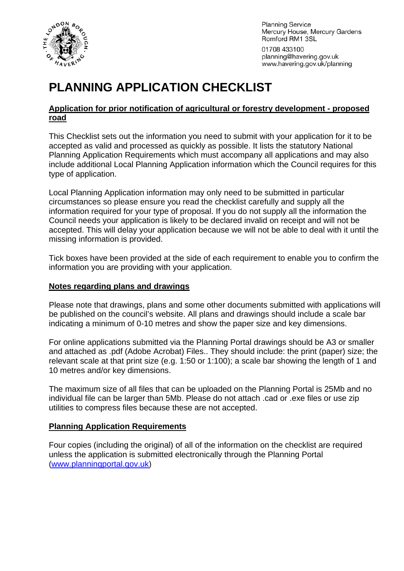

**Planning Service** Mercury House, Mercury Gardens Romford RM1 3SL 01708 433100 planning@havering.gov.uk www.havering.gov.uk/planning

# **PLANNING APPLICATION CHECKLIST**

#### **Application for prior notification of agricultural or forestry development - proposed road**

This Checklist sets out the information you need to submit with your application for it to be accepted as valid and processed as quickly as possible. It lists the statutory National Planning Application Requirements which must accompany all applications and may also include additional Local Planning Application information which the Council requires for this type of application.

Local Planning Application information may only need to be submitted in particular circumstances so please ensure you read the checklist carefully and supply all the information required for your type of proposal. If you do not supply all the information the Council needs your application is likely to be declared invalid on receipt and will not be accepted. This will delay your application because we will not be able to deal with it until the missing information is provided.

Tick boxes have been provided at the side of each requirement to enable you to confirm the information you are providing with your application.

### **Notes regarding plans and drawings**

Please note that drawings, plans and some other documents submitted with applications will be published on the council's website. All plans and drawings should include a scale bar indicating a minimum of 0-10 metres and show the paper size and key dimensions.

For online applications submitted via the Planning Portal drawings should be A3 or smaller and attached as .pdf (Adobe Acrobat) Files.. They should include: the print (paper) size; the relevant scale at that print size (e.g. 1:50 or 1:100); a scale bar showing the length of 1 and 10 metres and/or key dimensions.

The maximum size of all files that can be uploaded on the Planning Portal is 25Mb and no individual file can be larger than 5Mb. Please do not attach .cad or .exe files or use zip utilities to compress files because these are not accepted.

## **Planning Application Requirements**

Four copies (including the original) of all of the information on the checklist are required unless the application is submitted electronically through the Planning Portal ([www.planningportal.gov.uk](http://www.planningportal.gov.uk/))